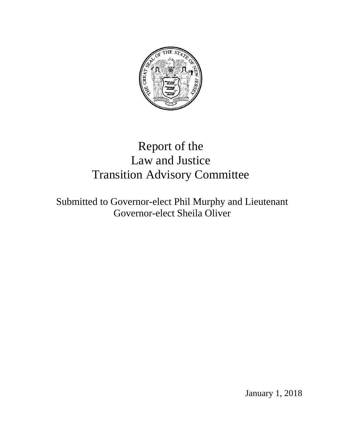

# Report of the Law and Justice Transition Advisory Committee

Submitted to Governor-elect Phil Murphy and Lieutenant Governor-elect Sheila Oliver

January 1, 2018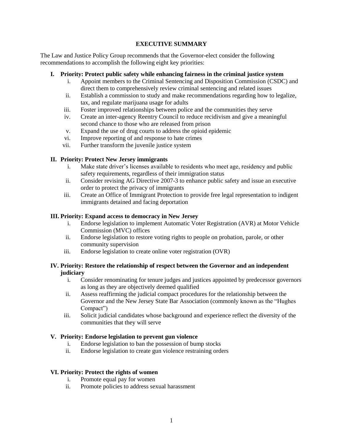## **EXECUTIVE SUMMARY**

The Law and Justice Policy Group recommends that the Governor-elect consider the following recommendations to accomplish the following eight key priorities:

- **I. Priority: Protect public safety while enhancing fairness in the criminal justice system**
	- i. Appoint members to the Criminal Sentencing and Disposition Commission (CSDC) and direct them to comprehensively review criminal sentencing and related issues
	- ii. Establish a commission to study and make recommendations regarding how to legalize, tax, and regulate marijuana usage for adults
	- iii. Foster improved relationships between police and the communities they serve
	- iv. Create an inter-agency Reentry Council to reduce recidivism and give a meaningful second chance to those who are released from prison
	- v. Expand the use of drug courts to address the opioid epidemic
	- vi. Improve reporting of and response to hate crimes
	- vii. Further transform the juvenile justice system

## **II. Priority: Protect New Jersey immigrants**

- i. Make state driver's licenses available to residents who meet age, residency and public safety requirements, regardless of their immigration status
- ii. Consider revising AG Directive 2007-3 to enhance public safety and issue an executive order to protect the privacy of immigrants
- iii. Create an Office of Immigrant Protection to provide free legal representation to indigent immigrants detained and facing deportation

## **III. Priority: Expand access to democracy in New Jersey**

- i. Endorse legislation to implement Automatic Voter Registration (AVR) at Motor Vehicle Commission (MVC) offices
- ii. Endorse legislation to restore voting rights to people on probation, parole, or other community supervision
- iii. Endorse legislation to create online voter registration (OVR)

## **IV. Priority: Restore the relationship of respect between the Governor and an independent judiciary**

- i. Consider renominating for tenure judges and justices appointed by predecessor governors as long as they are objectively deemed qualified
- ii. Assess reaffirming the judicial compact procedures for the relationship between the Governor and the New Jersey State Bar Association (commonly known as the "Hughes Compact")
- iii. Solicit judicial candidates whose background and experience reflect the diversity of the communities that they will serve

## **V. Priority: Endorse legislation to prevent gun violence**

- i. Endorse legislation to ban the possession of bump stocks
- ii. Endorse legislation to create gun violence restraining orders

## **VI. Priority: Protect the rights of women**

- i. Promote equal pay for women
- ii. Promote policies to address sexual harassment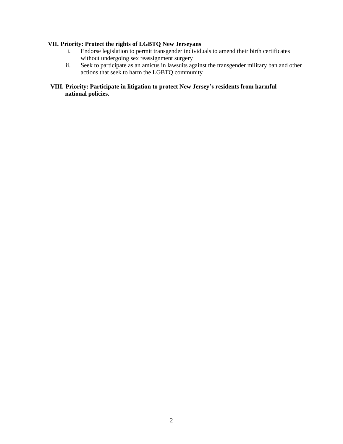# **VII. Priority: Protect the rights of LGBTQ New Jerseyans**

- i. Endorse legislation to permit transgender individuals to amend their birth certificates without undergoing sex reassignment surgery
- ii. Seek to participate as an amicus in lawsuits against the transgender military ban and other actions that seek to harm the LGBTQ community

# **VIII. Priority: Participate in litigation to protect New Jersey's residents from harmful national policies.**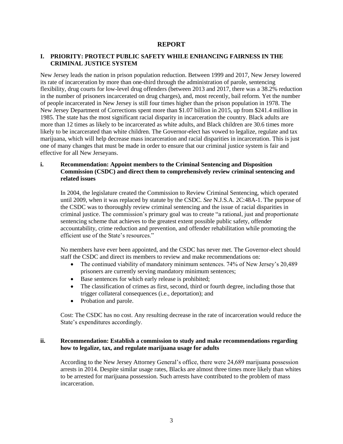## **REPORT**

## **I. PRIORITY: PROTECT PUBLIC SAFETY WHILE ENHANCING FAIRNESS IN THE CRIMINAL JUSTICE SYSTEM**

New Jersey leads the nation in prison population reduction. Between 1999 and 2017, New Jersey lowered its rate of incarceration by more than one-third through the administration of parole, sentencing flexibility, drug courts for low-level drug offenders (between 2013 and 2017, there was a 38.2% reduction in the number of prisoners incarcerated on drug charges), and, most recently, bail reform. Yet the number of people incarcerated in New Jersey is still four times higher than the prison population in 1978. The New Jersey Department of Corrections spent more than \$1.07 billion in 2015, up from \$241.4 million in 1985. The state has the most significant racial disparity in incarceration the country. Black adults are more than 12 times as likely to be incarcerated as white adults, and Black children are 30.6 times more likely to be incarcerated than white children. The Governor-elect has vowed to legalize, regulate and tax marijuana, which will help decrease mass incarceration and racial disparities in incarceration. This is just one of many changes that must be made in order to ensure that our criminal justice system is fair and effective for all New Jerseyans.

## **i. Recommendation: Appoint members to the Criminal Sentencing and Disposition Commission (CSDC) and direct them to comprehensively review criminal sentencing and related issues**

In 2004, the legislature created the Commission to Review Criminal Sentencing, which operated until 2009, when it was replaced by statute by the CSDC. *See* N.J.S.A. 2C:48A-1. The purpose of the CSDC was to thoroughly review criminal sentencing and the issue of racial disparities in criminal justice. The commission's primary goal was to create "a rational, just and proportionate sentencing scheme that achieves to the greatest extent possible public safety, offender accountability, crime reduction and prevention, and offender rehabilitation while promoting the efficient use of the State's resources."

No members have ever been appointed, and the CSDC has never met. The Governor-elect should staff the CSDC and direct its members to review and make recommendations on:

- The continued viability of mandatory minimum sentences. 74% of New Jersey's 20,489 prisoners are currently serving mandatory minimum sentences;
- Base sentences for which early release is prohibited;
- The classification of crimes as first, second, third or fourth degree, including those that trigger collateral consequences (i.e., deportation); and
- Probation and parole.

Cost: The CSDC has no cost. Any resulting decrease in the rate of incarceration would reduce the State's expenditures accordingly.

## **ii. Recommendation: Establish a commission to study and make recommendations regarding how to legalize, tax, and regulate marijuana usage for adults**

According to the New Jersey Attorney General's office, there were 24,689 marijuana possession arrests in 2014. Despite similar usage rates, Blacks are almost three times more likely than whites to be arrested for marijuana possession. Such arrests have contributed to the problem of mass incarceration.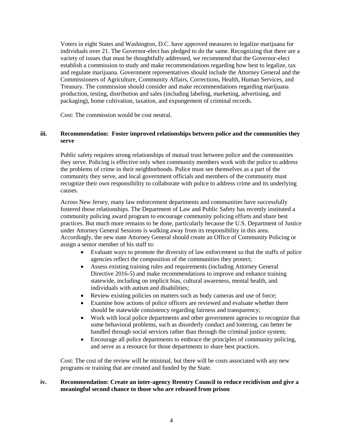Voters in eight States and Washington, D.C. have approved measures to legalize marijuana for individuals over 21. The Governor-elect has pledged to do the same. Recognizing that there are a variety of issues that must be thoughtfully addressed, we recommend that the Governor-elect establish a commission to study and make recommendations regarding how best to legalize, tax and regulate marijuana. Government representatives should include the Attorney General and the Commissioners of Agriculture, Community Affairs, Corrections, Health, Human Services, and Treasury. The commission should consider and make recommendations regarding marijuana production, testing, distribution and sales (including labeling, marketing, advertising, and packaging), home cultivation, taxation, and expungement of criminal records.

Cost: The commission would be cost neutral.

## **iii. Recommendation: Foster improved relationships between police and the communities they serve**

Public safety requires strong relationships of mutual trust between police and the communities they serve. Policing is effective only when community members work with the police to address the problems of crime in their neighborhoods. Police must see themselves as a part of the community they serve, and local government officials and members of the community must recognize their own responsibility to collaborate with police to address crime and its underlying causes.

Across New Jersey, many law enforcement departments and communities have successfully fostered those relationships. The Department of Law and Public Safety has recently instituted a community policing award program to encourage community policing efforts and share best practices. But much more remains to be done, particularly because the U.S. Department of Justice under Attorney General Sessions is walking away from its responsibility in this area. Accordingly, the new state Attorney General should create an Office of Community Policing or assign a senior member of his staff to:

- Evaluate ways to promote the diversity of law enforcement so that the staffs of police agencies reflect the composition of the communities they protect;
- Assess existing training rules and requirements (including Attorney General Directive 2016-5) and make recommendations to improve and enhance training statewide, including on implicit bias, cultural awareness, mental health, and individuals with autism and disabilities;
- Review existing policies on matters such as body cameras and use of force;
- Examine how actions of police officers are reviewed and evaluate whether there should be statewide consistency regarding fairness and transparency;
- Work with local police departments and other government agencies to recognize that some behavioral problems, such as disorderly conduct and loitering, can better be handled through social services rather than through the criminal justice system;
- Encourage all police departments to embrace the principles of community policing, and serve as a resource for those departments to share best practices.

Cost: The cost of the review will be minimal, but there will be costs associated with any new programs or training that are created and funded by the State.

#### **iv. Recommendation: Create an inter-agency Reentry Council to reduce recidivism and give a meaningful second chance to those who are released from prison**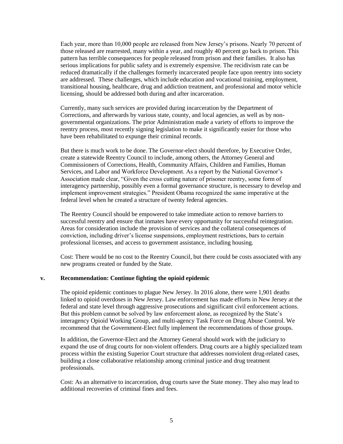Each year, more than 10,000 people are released from New Jersey's prisons. Nearly 70 percent of those released are rearrested, many within a year, and roughly 40 percent go back to prison. This pattern has terrible consequences for people released from prison and their families. It also has serious implications for public safety and is extremely expensive. The recidivism rate can be reduced dramatically if the challenges formerly incarcerated people face upon reentry into society are addressed. These challenges, which include education and vocational training, employment, transitional housing, healthcare, drug and addiction treatment, and professional and motor vehicle licensing, should be addressed both during and after incarceration.

Currently, many such services are provided during incarceration by the Department of Corrections, and afterwards by various state, county, and local agencies, as well as by nongovernmental organizations. The prior Administration made a variety of efforts to improve the reentry process, most recently signing legislation to make it significantly easier for those who have been rehabilitated to expunge their criminal records.

But there is much work to be done. The Governor-elect should therefore, by Executive Order, create a statewide Reentry Council to include, among others, the Attorney General and Commissioners of Corrections, Health, Community Affairs, Children and Families, Human Services, and Labor and Workforce Development. As a report by the National Governor's Association made clear, "Given the cross cutting nature of prisoner reentry, some form of interagency partnership, possibly even a formal governance structure, is necessary to develop and implement improvement strategies." President Obama recognized the same imperative at the federal level when he created a structure of twenty federal agencies.

The Reentry Council should be empowered to take immediate action to remove barriers to successful reentry and ensure that inmates have every opportunity for successful reintegration. Areas for consideration include the provision of services and the collateral consequences of conviction, including driver's license suspensions, employment restrictions, bars to certain professional licenses, and access to government assistance, including housing.

Cost: There would be no cost to the Reentry Council, but there could be costs associated with any new programs created or funded by the State.

#### **v. Recommendation: Continue fighting the opioid epidemic**

The opioid epidemic continues to plague New Jersey. In 2016 alone, there were 1,901 deaths linked to opioid overdoses in New Jersey. Law enforcement has made efforts in New Jersey at the federal and state level through aggressive prosecutions and significant civil enforcement actions. But this problem cannot be solved by law enforcement alone, as recognized by the State's interagency Opioid Working Group, and multi-agency Task Force on Drug Abuse Control. We recommend that the Government-Elect fully implement the recommendations of those groups.

In addition, the Governor-Elect and the Attorney General should work with the judiciary to expand the use of drug courts for non-violent offenders. Drug courts are a highly specialized team process within the existing Superior Court structure that addresses nonviolent drug-related cases, building a close collaborative relationship among criminal justice and drug treatment professionals.

Cost: As an alternative to incarceration, drug courts save the State money. They also may lead to additional recoveries of criminal fines and fees.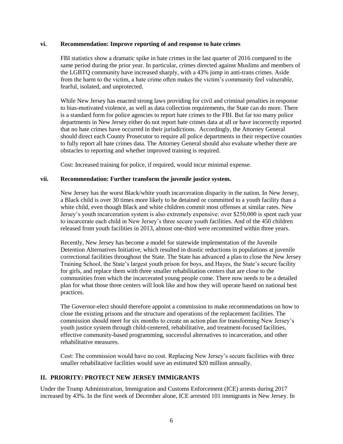#### **vi. Recommendation: Improve reporting of and response to hate crimes**

FBI statistics show a dramatic spike in hate crimes in the last quarter of 2016 compared to the same period during the prior year. In particular, crimes directed against Muslims and members of the LGBTQ community have increased sharply, with a 43% jump in anti-trans crimes. Aside from the harm to the victim, a hate crime often makes the victim's community feel vulnerable, fearful, isolated, and unprotected.

While New Jersey has enacted strong laws providing for civil and criminal penalties in response to bias-motivated violence, as well as data collection requirements, the State can do more. There is a standard form for police agencies to report hate crimes to the FBI. But far too many police departments in New Jersey either do not report hate crimes data at all or have incorrectly reported that no hate crimes have occurred in their jurisdictions. Accordingly, the Attorney General should direct each County Prosecutor to require all police departments in their respective counties to fully report all hate crimes data. The Attorney General should also evaluate whether there are obstacles to reporting and whether improved training is required.

Cost: Increased training for police, if required, would incur minimal expense.

## **vii. Recommendation: Further transform the juvenile justice system.**

New Jersey has the worst Black/white youth incarceration disparity in the nation. In New Jersey, a Black child is over 30 times more likely to be detained or committed to a youth facility than a white child, even though Black and white children commit most offenses at similar rates. New Jersey's youth incarceration system is also extremely expensive: over \$250,000 is spent each year to incarcerate each child in New Jersey's three secure youth facilities. And of the 450 children released from youth facilities in 2013, almost one-third were recommitted within three years.

Recently, New Jersey has become a model for statewide implementation of the Juvenile Detention Alternatives Initiative, which resulted in drastic reductions in populations at juvenile correctional facilities throughout the State. The State has advanced a plan to close the New Jersey Training School, the State's largest youth prison for boys, and Hayes, the State's secure facility for girls, and replace them with three smaller rehabilitation centers that are close to the communities from which the incarcerated young people come. There now needs to be a detailed plan for what those three centers will look like and how they will operate based on national best practices.

The Governor-elect should therefore appoint a commission to make recommendations on how to close the existing prisons and the structure and operations of the replacement facilities. The commission should meet for six months to create an action plan for transforming New Jersey's youth justice system through child-centered, rehabilitative, and treatment-focused facilities, effective community-based programming, successful alternatives to incarceration, and other rehabilitative measures.

Cost: The commission would have no cost. Replacing New Jersey's secure facilities with three smaller rehabilitative facilities would save an estimated \$20 million annually.

# **II. PRIORITY: PROTECT NEW JERSEY IMMIGRANTS**

Under the Trump Administration, Immigration and Customs Enforcement (ICE) arrests during 2017 increased by 43%. In the first week of December alone, ICE arrested 101 immigrants in New Jersey. In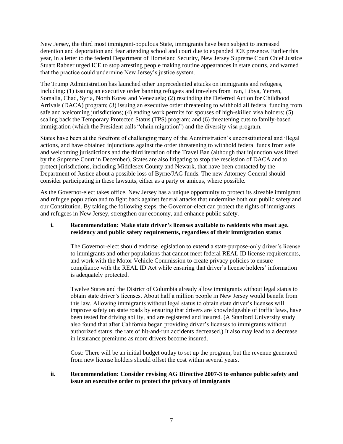New Jersey, the third most immigrant-populous State, immigrants have been subject to increased detention and deportation and fear attending school and court due to expanded ICE presence. Earlier this year, in a letter to the federal Department of Homeland Security, New Jersey Supreme Court Chief Justice Stuart Rabner urged ICE to stop arresting people making routine appearances in state courts, and warned that the practice could undermine New Jersey's justice system.

The Trump Administration has launched other unprecedented attacks on immigrants and refugees, including: (1) issuing an executive order banning refugees and travelers from Iran, Libya, Yemen, Somalia, Chad, Syria, North Korea and Venezuela; (2) rescinding the Deferred Action for Childhood Arrivals (DACA) program; (3) issuing an executive order threatening to withhold all federal funding from safe and welcoming jurisdictions; (4) ending work permits for spouses of high-skilled visa holders; (5) scaling back the Temporary Protected Status (TPS) program; and (6) threatening cuts to family-based immigration (which the President calls "chain migration") and the diversity visa program.

States have been at the forefront of challenging many of the Administration's unconstitutional and illegal actions, and have obtained injunctions against the order threatening to withhold federal funds from safe and welcoming jurisdictions and the third iteration of the Travel Ban (although that injunction was lifted by the Supreme Court in December). States are also litigating to stop the rescission of DACA and to protect jurisdictions, including Middlesex County and Newark, that have been contacted by the Department of Justice about a possible loss of Byrne/JAG funds. The new Attorney General should consider participating in these lawsuits, either as a party or amicus, where possible.

As the Governor-elect takes office, New Jersey has a unique opportunity to protect its sizeable immigrant and refugee population and to fight back against federal attacks that undermine both our public safety and our Constitution. By taking the following steps, the Governor-elect can protect the rights of immigrants and refugees in New Jersey, strengthen our economy, and enhance public safety.

## **i. Recommendation: Make state driver's licenses available to residents who meet age, residency and public safety requirements, regardless of their immigration status**

The Governor-elect should endorse legislation to extend a state-purpose-only driver's license to immigrants and other populations that cannot meet federal REAL ID license requirements, and work with the Motor Vehicle Commission to create privacy policies to ensure compliance with the REAL ID Act while ensuring that driver's license holders' information is adequately protected.

Twelve States and the District of Columbia already allow immigrants without legal status to obtain state driver's licenses. About half a million people in New Jersey would benefit from this law. Allowing immigrants without legal status to obtain state driver's licenses will improve safety on state roads by ensuring that drivers are knowledgeable of traffic laws, have been tested for driving ability, and are registered and insured. (A Stanford University study also found that after California began providing driver's licenses to immigrants without authorized status, the rate of hit-and-run accidents decreased.) It also may lead to a decrease in insurance premiums as more drivers become insured.

Cost: There will be an initial budget outlay to set up the program, but the revenue generated from new license holders should offset the cost within several years.

## **ii. Recommendation: Consider revising AG Directive 2007-3 to enhance public safety and issue an executive order to protect the privacy of immigrants**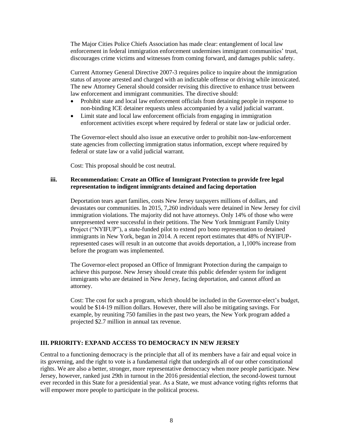The Major Cities Police Chiefs Association has made clear: entanglement of local law enforcement in federal immigration enforcement undermines immigrant communities' trust, discourages crime victims and witnesses from coming forward, and damages public safety.

Current Attorney General Directive 2007-3 requires police to inquire about the immigration status of anyone arrested and charged with an indictable offense or driving while intoxicated. The new Attorney General should consider revising this directive to enhance trust between law enforcement and immigrant communities. The directive should:

- Prohibit state and local law enforcement officials from detaining people in response to non-binding ICE detainer requests unless accompanied by a valid judicial warrant.
- Limit state and local law enforcement officials from engaging in immigration enforcement activities except where required by federal or state law or judicial order.

The Governor-elect should also issue an executive order to prohibit non-law-enforcement state agencies from collecting immigration status information, except where required by federal or state law or a valid judicial warrant.

Cost: This proposal should be cost neutral.

#### **iii. Recommendation: Create an Office of Immigrant Protection to provide free legal representation to indigent immigrants detained and facing deportation**

Deportation tears apart families, costs New Jersey taxpayers millions of dollars, and devastates our communities. In 2015, 7,260 individuals were detained in New Jersey for civil immigration violations. The majority did not have attorneys. Only 14% of those who were unrepresented were successful in their petitions. The New York Immigrant Family Unity Project ("NYIFUP"), a state-funded pilot to extend pro bono representation to detained immigrants in New York, began in 2014. A recent report estimates that 48% of NYIFUPrepresented cases will result in an outcome that avoids deportation, a 1,100% increase from before the program was implemented.

The Governor-elect proposed an Office of Immigrant Protection during the campaign to achieve this purpose. New Jersey should create this public defender system for indigent immigrants who are detained in New Jersey, facing deportation, and cannot afford an attorney.

Cost: The cost for such a program, which should be included in the Governor-elect's budget, would be \$14-19 million dollars. However, there will also be mitigating savings. For example, by reuniting 750 families in the past two years, the New York program added a projected \$2.7 million in annual tax revenue.

## **III. PRIORITY: EXPAND ACCESS TO DEMOCRACY IN NEW JERSEY**

Central to a functioning democracy is the principle that all of its members have a fair and equal voice in its governing, and the right to vote is a fundamental right that undergirds all of our other constitutional rights. We are also a better, stronger, more representative democracy when more people participate. New Jersey, however, ranked just 29th in turnout in the 2016 presidential election, the second-lowest turnout ever recorded in this State for a presidential year. As a State, we must advance voting rights reforms that will empower more people to participate in the political process.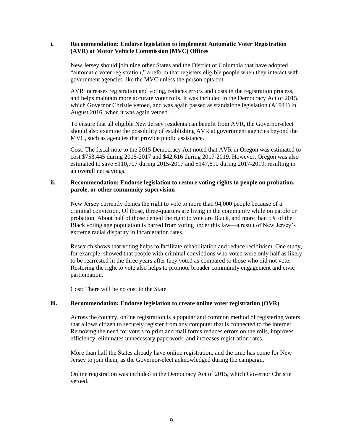#### **i. Recommendation: Endorse legislation to implement Automatic Voter Registration (AVR) at Motor Vehicle Commission (MVC) Offices**

New Jersey should join nine other States and the District of Columbia that have adopted "automatic voter registration," a reform that registers eligible people when they interact with government agencies like the MVC unless the person opts out.

AVR increases registration and voting, reduces errors and costs in the registration process, and helps maintain more accurate voter rolls. It was included in the Democracy Act of 2015, which Governor Christie vetoed, and was again passed as standalone legislation (A1944) in August 2016, when it was again vetoed.

To ensure that all eligible New Jersey residents can benefit from AVR, the Governor-elect should also examine the possibility of establishing AVR at government agencies beyond the MVC, such as agencies that provide public assistance.

Cost: The fiscal note to the 2015 Democracy Act noted that AVR in Oregon was estimated to cost \$753,445 during 2015-2017 and \$42,616 during 2017-2019. However, Oregon was also estimated to save \$110,707 during 2015-2017 and \$147,610 during 2017-2019, resulting in an overall net savings.

## **ii. Recommendation: Endorse legislation to restore voting rights to people on probation, parole, or other community supervision**

New Jersey currently denies the right to vote to more than 94,000 people because of a criminal conviction. Of those, three-quarters are living in the community while on parole or probation. About half of those denied the right to vote are Black, and more than 5% of the Black voting age population is barred from voting under this law—a result of New Jersey's extreme racial disparity in incarceration rates.

Research shows that voting helps to facilitate rehabilitation and reduce recidivism. One study, for example, showed that people with criminal convictions who voted were only half as likely to be rearrested in the three years after they voted as compared to those who did not vote. Restoring the right to vote also helps to promote broader community engagement and civic participation.

Cost: There will be no cost to the State.

## **iii. Recommendation: Endorse legislation to create online voter registration (OVR)**

Across the country, online registration is a popular and common method of registering voters that allows citizen to securely register from any computer that is connected to the internet. Removing the need for voters to print and mail forms reduces errors on the rolls, improves efficiency, eliminates unnecessary paperwork, and increases registration rates.

More than half the States already have online registration, and the time has come for New Jersey to join them, as the Governor-elect acknowledged during the campaign.

Online registration was included in the Democracy Act of 2015, which Governor Christie vetoed.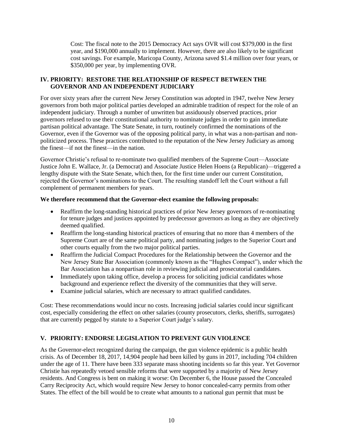Cost: The fiscal note to the 2015 Democracy Act says OVR will cost \$379,000 in the first year, and \$190,000 annually to implement. However, there are also likely to be significant cost savings. For example, Maricopa County, Arizona saved \$1.4 million over four years, or \$350,000 per year, by implementing OVR.

## **IV. PRIORITY: RESTORE THE RELATIONSHIP OF RESPECT BETWEEN THE GOVERNOR AND AN INDEPENDENT JUDICIARY**

For over sixty years after the current New Jersey Constitution was adopted in 1947, twelve New Jersey governors from both major political parties developed an admirable tradition of respect for the role of an independent judiciary. Through a number of unwritten but assiduously observed practices, prior governors refused to use their constitutional authority to nominate judges in order to gain immediate partisan political advantage. The State Senate, in turn, routinely confirmed the nominations of the Governor, even if the Governor was of the opposing political party, in what was a non-partisan and nonpoliticized process. These practices contributed to the reputation of the New Jersey Judiciary as among the finest—if not the finest—in the nation.

Governor Christie's refusal to re-nominate two qualified members of the Supreme Court—Associate Justice John E. Wallace, Jr. (a Democrat) and Associate Justice Helen Hoens (a Republican)—triggered a lengthy dispute with the State Senate, which then, for the first time under our current Constitution, rejected the Governor's nominations to the Court. The resulting standoff left the Court without a full complement of permanent members for years.

## **We therefore recommend that the Governor-elect examine the following proposals:**

- Reaffirm the long-standing historical practices of prior New Jersey governors of re-nominating for tenure judges and justices appointed by predecessor governors as long as they are objectively deemed qualified.
- Reaffirm the long-standing historical practices of ensuring that no more than 4 members of the Supreme Court are of the same political party, and nominating judges to the Superior Court and other courts equally from the two major political parties.
- Reaffirm the Judicial Compact Procedures for the Relationship between the Governor and the New Jersey State Bar Association (commonly known as the "Hughes Compact"), under which the Bar Association has a nonpartisan role in reviewing judicial and prosecutorial candidates.
- Immediately upon taking office, develop a process for soliciting judicial candidates whose background and experience reflect the diversity of the communities that they will serve.
- Examine judicial salaries, which are necessary to attract qualified candidates.

Cost: These recommendations would incur no costs. Increasing judicial salaries could incur significant cost, especially considering the effect on other salaries (county prosecutors, clerks, sheriffs, surrogates) that are currently pegged by statute to a Superior Court judge's salary.

# **V. PRIORITY: ENDORSE LEGISLATION TO PREVENT GUN VIOLENCE**

As the Governor-elect recognized during the campaign, the gun violence epidemic is a public health crisis. As of December 18, 2017, 14,904 people had been killed by guns in 2017, including 704 children under the age of 11. There have been 333 separate mass shooting incidents so far this year. Yet Governor Christie has repeatedly vetoed sensible reforms that were supported by a majority of New Jersey residents. And Congress is bent on making it worse: On December 6, the House passed the Concealed Carry Reciprocity Act, which would require New Jersey to honor concealed-carry permits from other States. The effect of the bill would be to create what amounts to a national gun permit that must be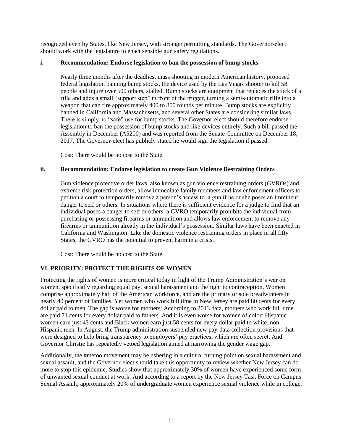recognized even by States, like New Jersey, with stronger permitting standards. The Governor-elect should work with the legislature to enact sensible gun safety regulations.

## **i. Recommendation: Endorse legislation to ban the possession of bump stocks**

Nearly three months after the deadliest mass shooting in modern American history, proposed federal legislation banning bump stocks, the device used by the Las Vegas shooter to kill 58 people and injure over 500 others, stalled. Bump stocks are equipment that replaces the stock of a rifle and adds a small "support step" in front of the trigger, turning a semi-automatic rifle into a weapon that can fire approximately 400 to 800 rounds per minute. Bump stocks are explicitly banned in California and Massachusetts, and several other States are considering similar laws. There is simply no "safe" use for bump stocks. The Governor-elect should therefore endorse legislation to ban the possession of bump stocks and like devices entirely. Such a bill passed the Assembly in December (A5200) and was reported from the Senate Committee on December 18, 2017. The Governor-elect has publicly stated he would sign the legislation if passed.

Cost: There would be no cost to the State.

#### **ii. Recommendation: Endorse legislation to create Gun Violence Restraining Orders**

Gun violence protective order laws, also known as gun violence restraining orders (GVROs) and extreme risk protection orders, allow immediate family members and law enforcement officers to petition a court to temporarily remove a person's access to a gun if he or she poses an imminent danger to self or others. In situations where there is sufficient evidence for a judge to find that an individual poses a danger to self or others, a GVRO temporarily prohibits the individual from purchasing or possessing firearms or ammunition and allows law enforcement to remove any firearms or ammunition already in the individual's possession. Similar laws have been enacted in California and Washington. Like the domestic violence restraining orders in place in all fifty States, the GVRO has the potential to prevent harm in a crisis.

Cost: There would be no cost to the State.

## **VI. PRIORITY: PROTECT THE RIGHTS OF WOMEN**

Protecting the rights of women is more critical today in light of the Trump Administration's war on women, specifically regarding equal pay, sexual harassment and the right to contraception. Women comprise approximately half of the American workforce, and are the primary or sole breadwinners in nearly 40 percent of families. Yet women who work full time in New Jersey are paid 80 cents for every dollar paid to men. The gap is worse for mothers: According to 2013 data, mothers who work full time are paid 71 cents for every dollar paid to fathers. And it is even worse for women of color: Hispanic women earn just 43 cents and Black women earn just 58 cents for every dollar paid to white, non-Hispanic men. In August, the Trump administration suspended new pay-data collection provisions that were designed to help bring transparency to employers' pay practices, which are often secret. And Governor Christie has repeatedly vetoed legislation aimed at narrowing the gender wage gap.

Additionally, the #metoo movement may be ushering in a cultural turning point on sexual harassment and sexual assault, and the Governor-elect should take this opportunity to review whether New Jersey can do more to stop this epidemic. Studies show that approximately 30% of women have experienced some form of unwanted sexual conduct at work. And according to a report by the New Jersey Task Force on Campus Sexual Assault, approximately 20% of undergraduate women experience sexual violence while in college.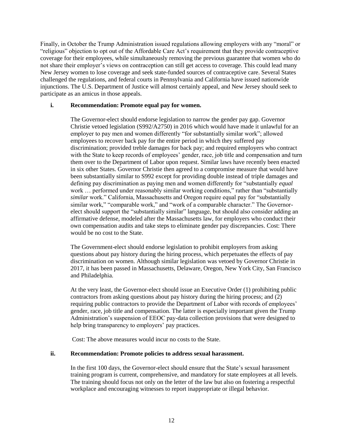Finally, in October the Trump Administration issued regulations allowing employers with any "moral" or "religious" objection to opt out of the Affordable Care Act's requirement that they provide contraceptive coverage for their employees, while simultaneously removing the previous guarantee that women who do not share their employer's views on contraception can still get access to coverage. This could lead many New Jersey women to lose coverage and seek state-funded sources of contraceptive care. Several States challenged the regulations, and federal courts in Pennsylvania and California have issued nationwide injunctions. The U.S. Department of Justice will almost certainly appeal, and New Jersey should seek to participate as an amicus in those appeals.

## **i. Recommendation: Promote equal pay for women.**

The Governor-elect should endorse legislation to narrow the gender pay gap. Governor Christie vetoed legislation (S992/A2750) in 2016 which would have made it unlawful for an employer to pay men and women differently "for substantially similar work"; allowed employees to recover back pay for the entire period in which they suffered pay discrimination; provided treble damages for back pay; and required employers who contract with the State to keep records of employees' gender, race, job title and compensation and turn them over to the Department of Labor upon request. Similar laws have recently been enacted in six other States. Governor Christie then agreed to a compromise measure that would have been substantially similar to S992 except for providing double instead of triple damages and defining pay discrimination as paying men and women differently for "substantially *equal* work ... performed under reasonably similar working conditions," rather than "substantially *similar* work." California, Massachusetts and Oregon require equal pay for "substantially similar work," "comparable work," and "work of a comparable character." The Governorelect should support the "substantially similar" language, but should also consider adding an affirmative defense, modeled after the Massachusetts law, for employers who conduct their own compensation audits and take steps to eliminate gender pay discrepancies. Cost: There would be no cost to the State.

The Government-elect should endorse legislation to prohibit employers from asking questions about pay history during the hiring process, which perpetuates the effects of pay discrimination on women. Although similar legislation was vetoed by Governor Christie in 2017, it has been passed in Massachusetts, Delaware, Oregon, New York City, San Francisco and Philadelphia.

At the very least, the Governor-elect should issue an Executive Order (1) prohibiting public contractors from asking questions about pay history during the hiring process; and (2) requiring public contractors to provide the Department of Labor with records of employees' gender, race, job title and compensation. The latter is especially important given the Trump Administration's suspension of EEOC pay-data collection provisions that were designed to help bring transparency to employers' pay practices.

Cost: The above measures would incur no costs to the State.

## **ii. Recommendation: Promote policies to address sexual harassment.**

In the first 100 days, the Governor-elect should ensure that the State's sexual harassment training program is current, comprehensive, and mandatory for state employees at all levels. The training should focus not only on the letter of the law but also on fostering a respectful workplace and encouraging witnesses to report inappropriate or illegal behavior.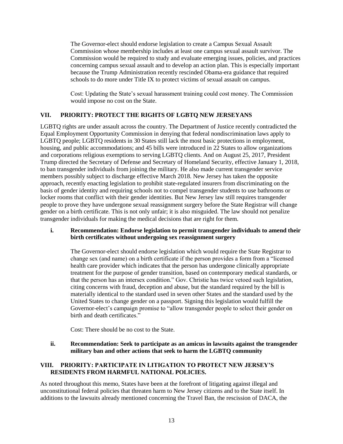The Governor-elect should endorse legislation to create a Campus Sexual Assault Commission whose membership includes at least one campus sexual assault survivor. The Commission would be required to study and evaluate emerging issues, policies, and practices concerning campus sexual assault and to develop an action plan. This is especially important because the Trump Administration recently rescinded Obama-era guidance that required schools to do more under Title IX to protect victims of sexual assault on campus.

Cost: Updating the State's sexual harassment training could cost money. The Commission would impose no cost on the State.

## **VII. PRIORITY: PROTECT THE RIGHTS OF LGBTQ NEW JERSEYANS**

LGBTQ rights are under assault across the country. The Department of Justice recently contradicted the Equal Employment Opportunity Commission in denying that federal nondiscrimination laws apply to LGBTQ people; LGBTQ residents in 30 States still lack the most basic protections in employment, housing, and public accommodations; and 45 bills were introduced in 22 States to allow organizations and corporations religious exemptions to serving LGBTQ clients. And on August 25, 2017, President Trump directed the Secretary of Defense and Secretary of Homeland Security, effective January 1, 2018, to ban transgender individuals from joining the military. He also made current transgender service members possibly subject to discharge effective March 2018. New Jersey has taken the opposite approach, recently enacting legislation to prohibit state-regulated insurers from discriminating on the basis of gender identity and requiring schools not to compel transgender students to use bathrooms or locker rooms that conflict with their gender identities. But New Jersey law still requires transgender people to prove they have undergone sexual reassignment surgery before the State Registrar will change gender on a birth certificate. This is not only unfair; it is also misguided. The law should not penalize transgender individuals for making the medical decisions that are right for them.

## **i. Recommendation: Endorse legislation to permit transgender individuals to amend their birth certificates without undergoing sex reassignment surgery**

The Governor-elect should endorse legislation which would require the State Registrar to change sex (and name) on a birth certificate if the person provides a form from a "licensed health care provider which indicates that the person has undergone clinically appropriate treatment for the purpose of gender transition, based on contemporary medical standards, or that the person has an intersex condition." Gov. Christie has twice vetoed such legislation, citing concerns with fraud, deception and abuse, but the standard required by the bill is materially identical to the standard used in seven other States and the standard used by the United States to change gender on a passport. Signing this legislation would fulfill the Governor-elect's campaign promise to "allow transgender people to select their gender on birth and death certificates."

Cost: There should be no cost to the State.

## **ii. Recommendation: Seek to participate as an amicus in lawsuits against the transgender military ban and other actions that seek to harm the LGBTQ community**

## **VIII. PRIORITY: PARTICIPATE IN LITIGATION TO PROTECT NEW JERSEY'S RESIDENTS FROM HARMFUL NATIONAL POLICIES.**

As noted throughout this memo, States have been at the forefront of litigating against illegal and unconstitutional federal policies that threaten harm to New Jersey citizens and to the State itself. In additions to the lawsuits already mentioned concerning the Travel Ban, the rescission of DACA, the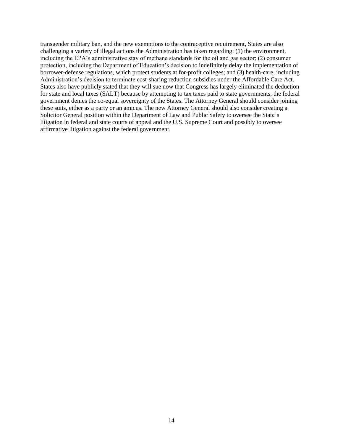transgender military ban, and the new exemptions to the contraceptive requirement, States are also challenging a variety of illegal actions the Administration has taken regarding: (1) the environment, including the EPA's administrative stay of methane standards for the oil and gas sector; (2) consumer protection, including the Department of Education's decision to indefinitely delay the implementation of borrower-defense regulations, which protect students at for-profit colleges; and (3) health-care, including Administration's decision to terminate cost-sharing reduction subsidies under the Affordable Care Act. States also have publicly stated that they will sue now that Congress has largely eliminated the deduction for state and local taxes (SALT) because by attempting to tax taxes paid to state governments, the federal government denies the co-equal sovereignty of the States. The Attorney General should consider joining these suits, either as a party or an amicus. The new Attorney General should also consider creating a Solicitor General position within the Department of Law and Public Safety to oversee the State's litigation in federal and state courts of appeal and the U.S. Supreme Court and possibly to oversee affirmative litigation against the federal government.